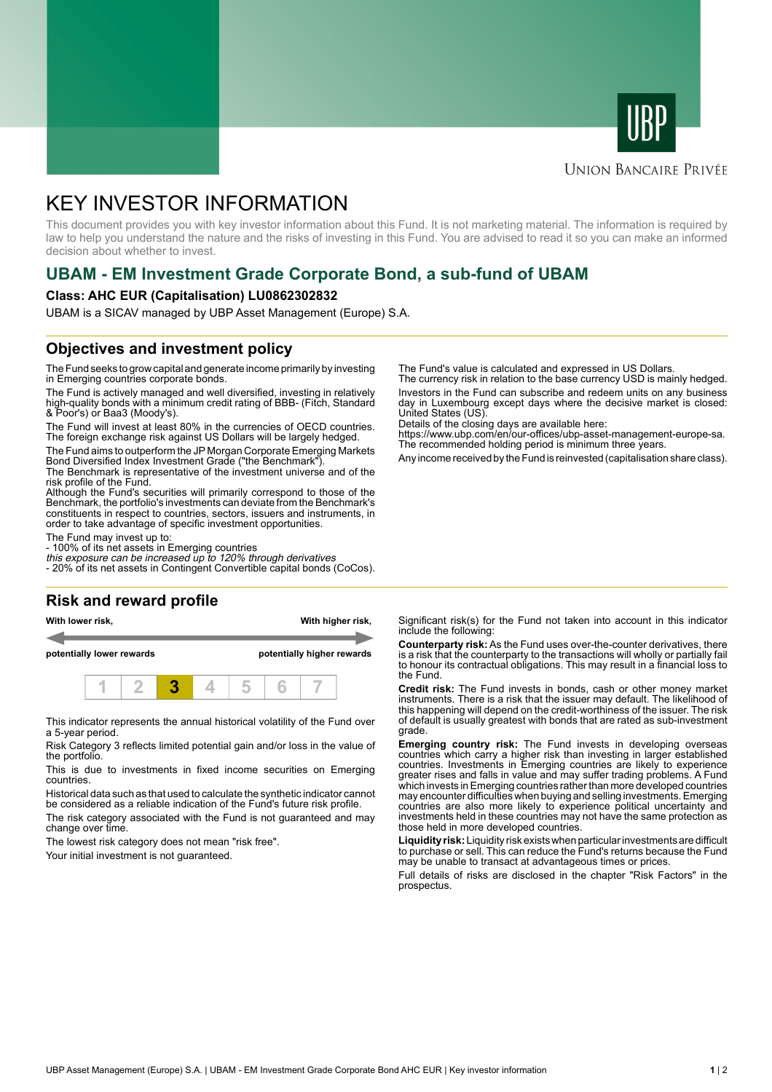



### **UNION BANCAIRE PRIVÉE**

# KEY INVESTOR INFORMATION

This document provides you with key investor information about this Fund. It is not marketing material. The information is required by law to help you understand the nature and the risks of investing in this Fund. You are advised to read it so you can make an informed decision about whether to invest.

# **UBAM - EM Investment Grade Corporate Bond, a sub-fund of UBAM**

#### **Class: AHC EUR (Capitalisation) LU0862302832**

UBAM is a SICAV managed by UBP Asset Management (Europe) S.A.

# **Objectives and investment policy**

The Fund seeks to grow capital and generate income primarily by investing in Emerging countries corporate bonds.

The Fund is actively managed and well diversified, investing in relatively high-quality bonds with a minimum credit rating of BBB- (Fitch, Standard & Poor's) or Baa3 (Moody's).

The Fund will invest at least 80% in the currencies of OECD countries. The foreign exchange risk against US Dollars will be largely hedged.

The Fund aims to outperform the JP Morgan Corporate Emerging Markets Bond Diversified Index Investment Grade ("the Benchmark").

The Benchmark is representative of the investment universe and of the risk profile of the Fund.

Although the Fund's securities will primarily correspond to those of the Benchmark, the portfolio's investments can deviate from the Benchmark's constituents in respect to countries, sectors, issuers and instruments, in order to take advantage of specific investment opportunities.

The Fund may invest up to:

- 100% of its net assets in Emerging countries

this exposure can be increased up to 120% through derivatives - 20% of its net assets in Contingent Convertible capital bonds (CoCos).

# **Risk and reward profile**

**With lower risk, With higher risk,**

**potentially lower rewards potentially higher rewards**



This indicator represents the annual historical volatility of the Fund over a 5-year period.

Risk Category 3 reflects limited potential gain and/or loss in the value of the portfolio.

This is due to investments in fixed income securities on Emerging countries.

Historical data such as that used to calculate the synthetic indicator cannot be considered as a reliable indication of the Fund's future risk profile.

The risk category associated with the Fund is not guaranteed and may change over time.

The lowest risk category does not mean "risk free".

Your initial investment is not guaranteed.

The Fund's value is calculated and expressed in US Dollars.

The currency risk in relation to the base currency USD is mainly hedged. Investors in the Fund can subscribe and redeem units on any business day in Luxembourg except days where the decisive market is closed: United States (US).

Details of the closing days are available here:

https://www.ubp.com/en/our-offices/ubp-asset-management-europe-sa. The recommended holding period is minimum three years.

Any income received by the Fund is reinvested (capitalisation share class).

Significant risk(s) for the Fund not taken into account in this indicator include the following:

**Counterparty risk:** As the Fund uses over-the-counter derivatives, there is a risk that the counterparty to the transactions will wholly or partially fail to honour its contractual obligations. This may result in a financial loss to the Fund.

**Credit risk:** The Fund invests in bonds, cash or other money market instruments. There is a risk that the issuer may default. The likelihood of this happening will depend on the credit-worthiness of the issuer. The risk of default is usually greatest with bonds that are rated as sub-investment grade.

**Emerging country risk:** The Fund invests in developing overseas countries which carry a higher risk than investing in larger established countries. Investments in Emerging countries are likely to experience greater rises and falls in value and may suffer trading problems. A Fund which invests in Emerging countries rather than more developed countries may encounter difficulties when buying and selling investments. Emerging countries are also more likely to experience political uncertainty and investments held in these countries may not have the same protection as those held in more developed countries.

**Liquidity risk:** Liquidity risk exists when particular investments are difficult to purchase or sell. This can reduce the Fund's returns because the Fund may be unable to transact at advantageous times or prices.

Full details of risks are disclosed in the chapter "Risk Factors" in the prospectus.